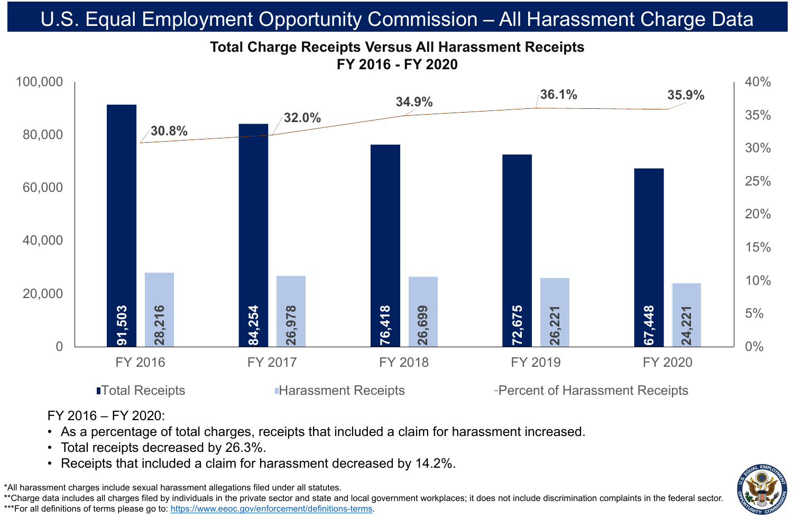FY 2016 – FY 2020:

• As a percentage of total charges, receipts that included a claim for harassment increased.

■Total Receipts ■ Harassment Receipts → Percent of Harassment Receipts



- 
- Total receipts decreased by 26.3%.
- 

.<br>.\* \*All harassment charges include sexual harassment allegations filed under all statutes. \*\*Charge data includes all charges filed by individuals in the private sector and state and local government workplaces; it does not include discrimination complaints in the federal sector. \*\*\*For all definitions of terms please go to:<https://www.eeoc.gov/enforcement/definitions-terms>.

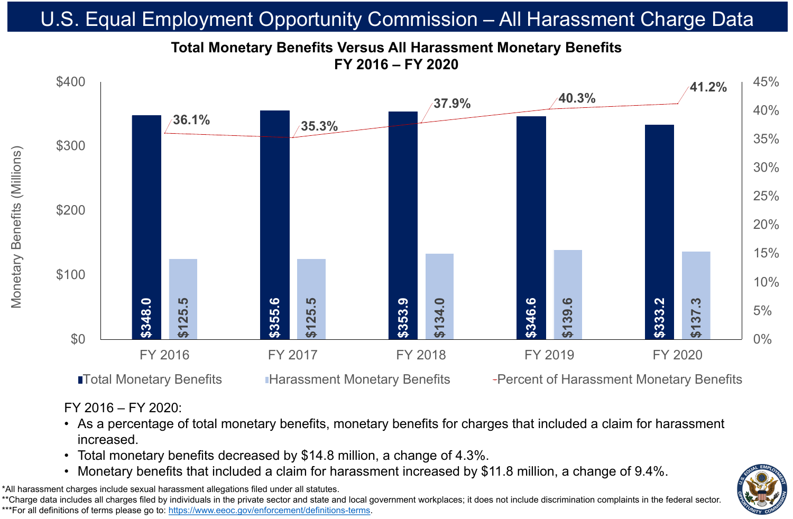### FY 2016 – FY 2020:

# • As a percentage of total monetary benefits, monetary benefits for charges that included a claim for harassment



- increased.
- 
- 

# • Total monetary benefits decreased by \$14.8 million, a change of 4.3%.

# **Total Monetary Benefits Versus All Harassment Monetary Benefits FY 2016 – FY 2020** U.S. Equal Employment Opportunity Commission – All Harassment Charge Data

\*All harassment charges include sexual harassment allegations filed under all statutes. \*\*Charge data includes all charges filed by individuals in the private sector and state and local government workplaces; it does not include discrimination complaints in the federal sector. \*\*\*For all definitions of terms please go to:<https://www.eeoc.gov/enforcement/definitions-terms>.



## **ITotal Monetary Benefits Interary Penetary Benefits** Percent of Harassment Monetary Benefits

Monetary Benefits (Millions)

Ber

Monetar

efits

 $\odot$ 

 $\sim$   $\sim$ 

IN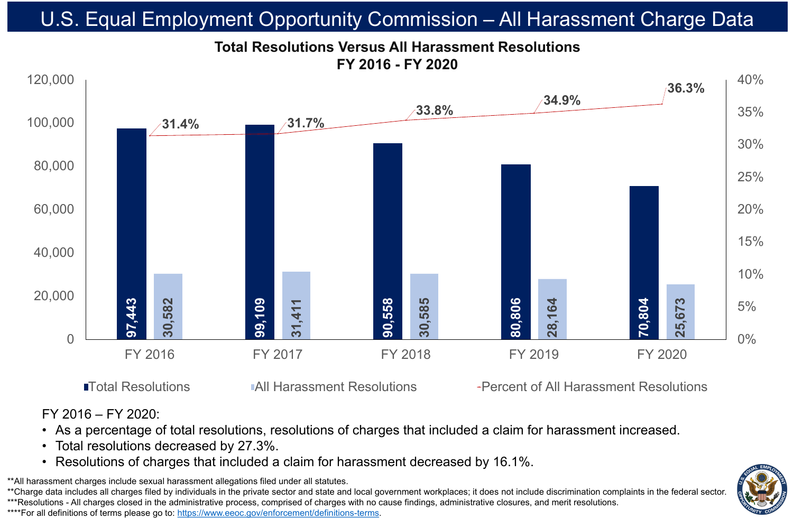| 586, | 806 | 164 |
|------|-----|-----|
| 30   | 8   | 28  |

### **33.8%**









# **Total Resolutions Versus All Harassment Resolutions FY 2016 - FY 2020** U.S. Equal Employment Opportunity Commission – All Harassment Charge Data

\*\*All harassment charges include sexual harassment allegations filed under all statutes. \*\*Charge data includes all charges filed by individuals in the private sector and state and local government workplaces; it does not include discrimination complaints in the federal sector. \*\*\*Resolutions - All charges closed in the administrative process, comprised of charges with no cause findings, administrative closures, and merit resolutions. \*\*\*\*For all definitions of terms please go to: [https://www.eeoc.gov/enforcement/definitions-terms.](https://www.eeoc.gov/enforcement/definitions-terms)

■Total Resolutions TAIL Harassment Resolutions Tercent of All Harassment Resolutions



### FY 2016 – FY 2020: • As a percentage of total resolutions, resolutions of charges that included a claim for harassment increased. • Total resolutions decreased by 27.3%. • Resolutions of charges that included a claim for harassment decreased by 16.1%.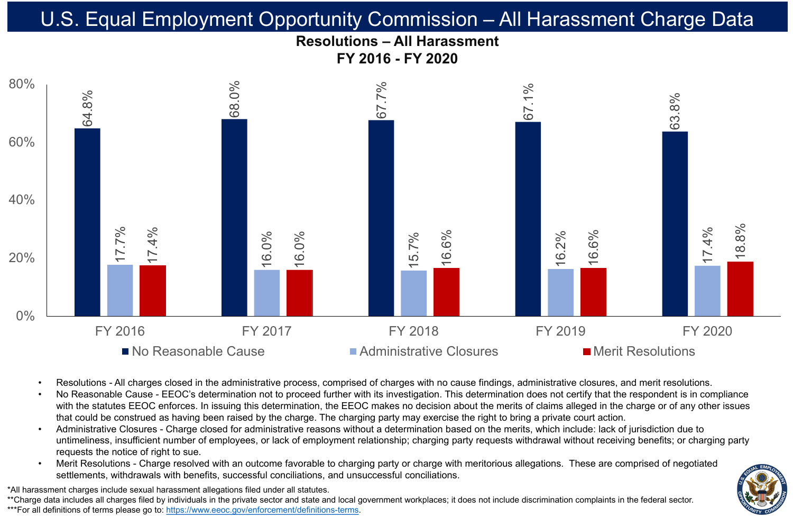

![](_page_3_Figure_1.jpeg)

Resolutions - All charges closed in the administrative process, comprised of charges with no cause findings, administrative closures, and merit resolutions. No Reasonable Cause - EEOC's determination not to proceed further with its investigation. This determination does not certify that the respondent is in compliance with the statutes EEOC enforces. In issuing this determination, the EEOC makes no decision about the merits of claims alleged in the charge or of any other issues that could be construed as having been raised by the charge. The charging party may exercise the right to bring a private court action. • Administrative Closures - Charge closed for administrative reasons without a determination based on the merits, which include: lack of jurisdiction due to untimeliness, insufficient number of employees, or lack of employment relationship; charging party requests withdrawal without receiving benefits; or charging party

Merit Resolutions - Charge resolved with an outcome favorable to charging party or charge with meritorious allegations. These are comprised of negotiated settlements, withdrawals with benefits, successful conciliations, and unsuccessful conciliations.

\*All harassment charges include sexual harassment allegations filed under all statutes. \*\*Charge data includes all charges filed by individuals in the private sector and state and local government workplaces; it does not include discrimination complaints in the federal sector. \*\*\*For all definitions of terms please go to: [https://www.eeoc.gov/enforcement/definitions-terms.](https://www.eeoc.gov/enforcement/definitions-terms)

![](_page_3_Picture_12.jpeg)

![](_page_3_Picture_17.jpeg)

- 
- 
- requests the notice of right to sue.
-